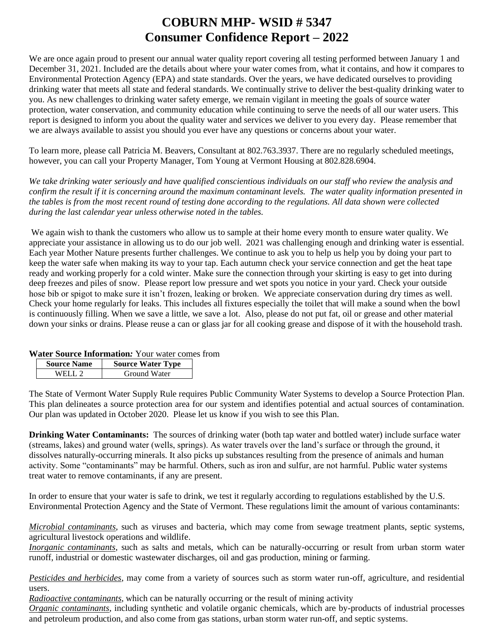# **COBURN MHP- WSID # 5347 Consumer Confidence Report – 2022**

We are once again proud to present our annual water quality report covering all testing performed between January 1 and December 31, 2021. Included are the details about where your water comes from, what it contains, and how it compares to Environmental Protection Agency (EPA) and state standards. Over the years, we have dedicated ourselves to providing drinking water that meets all state and federal standards. We continually strive to deliver the best-quality drinking water to you. As new challenges to drinking water safety emerge, we remain vigilant in meeting the goals of source water protection, water conservation, and community education while continuing to serve the needs of all our water users. This report is designed to inform you about the quality water and services we deliver to you every day. Please remember that we are always available to assist you should you ever have any questions or concerns about your water.

To learn more, please call Patricia M. Beavers, Consultant at 802.763.3937. There are no regularly scheduled meetings, however, you can call your Property Manager, Tom Young at Vermont Housing at 802.828.6904.

*We take drinking water seriously and have qualified conscientious individuals on our staff who review the analysis and confirm the result if it is concerning around the maximum contaminant levels. The water quality information presented in the tables is from the most recent round of testing done according to the regulations. All data shown were collected during the last calendar year unless otherwise noted in the tables.* 

We again wish to thank the customers who allow us to sample at their home every month to ensure water quality. We appreciate your assistance in allowing us to do our job well. 2021 was challenging enough and drinking water is essential. Each year Mother Nature presents further challenges. We continue to ask you to help us help you by doing your part to keep the water safe when making its way to your tap. Each autumn check your service connection and get the heat tape ready and working properly for a cold winter. Make sure the connection through your skirting is easy to get into during deep freezes and piles of snow. Please report low pressure and wet spots you notice in your yard. Check your outside hose bib or spigot to make sure it isn't frozen, leaking or broken. We appreciate conservation during dry times as well. Check your home regularly for leaks. This includes all fixtures especially the toilet that will make a sound when the bowl is continuously filling. When we save a little, we save a lot. Also, please do not put fat, oil or grease and other material down your sinks or drains. Please reuse a can or glass jar for all cooking grease and dispose of it with the household trash.

#### **Water Source Information***:* Your water comes from

| <b>Source Water Type</b> |
|--------------------------|
| Ground Water             |
|                          |

The State of Vermont Water Supply Rule requires Public Community Water Systems to develop a Source Protection Plan. This plan delineates a source protection area for our system and identifies potential and actual sources of contamination. Our plan was updated in October 2020. Please let us know if you wish to see this Plan.

**Drinking Water Contaminants:** The sources of drinking water (both tap water and bottled water) include surface water (streams, lakes) and ground water (wells, springs). As water travels over the land's surface or through the ground, it dissolves naturally-occurring minerals. It also picks up substances resulting from the presence of animals and human activity. Some "contaminants" may be harmful. Others, such as iron and sulfur, are not harmful. Public water systems treat water to remove contaminants, if any are present.

In order to ensure that your water is safe to drink, we test it regularly according to regulations established by the U.S. Environmental Protection Agency and the State of Vermont. These regulations limit the amount of various contaminants:

*Microbial contaminants*, such as viruses and bacteria, which may come from sewage treatment plants, septic systems, agricultural livestock operations and wildlife.

*Inorganic contaminants*, such as salts and metals, which can be naturally-occurring or result from urban storm water runoff, industrial or domestic wastewater discharges, oil and gas production, mining or farming.

*Pesticides and herbicides*, may come from a variety of sources such as storm water run-off, agriculture, and residential users.

*Radioactive contaminants*, which can be naturally occurring or the result of mining activity

*Organic contaminants*, including synthetic and volatile organic chemicals, which are by-products of industrial processes and petroleum production, and also come from gas stations, urban storm water run-off, and septic systems.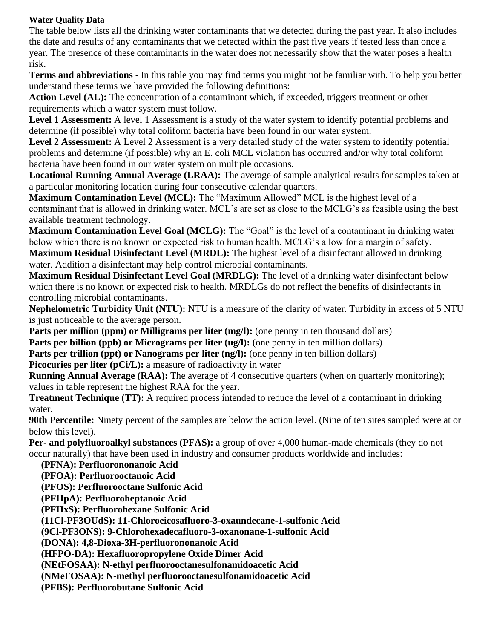# **Water Quality Data**

The table below lists all the drinking water contaminants that we detected during the past year. It also includes the date and results of any contaminants that we detected within the past five years if tested less than once a year. The presence of these contaminants in the water does not necessarily show that the water poses a health risk.

**Terms and abbreviations** - In this table you may find terms you might not be familiar with. To help you better understand these terms we have provided the following definitions:

**Action Level (AL):** The concentration of a contaminant which, if exceeded, triggers treatment or other requirements which a water system must follow.

**Level 1 Assessment:** A level 1 Assessment is a study of the water system to identify potential problems and determine (if possible) why total coliform bacteria have been found in our water system.

**Level 2 Assessment:** A Level 2 Assessment is a very detailed study of the water system to identify potential problems and determine (if possible) why an E. coli MCL violation has occurred and/or why total coliform bacteria have been found in our water system on multiple occasions.

**Locational Running Annual Average (LRAA):** The average of sample analytical results for samples taken at a particular monitoring location during four consecutive calendar quarters.

**Maximum Contamination Level (MCL):** The "Maximum Allowed" MCL is the highest level of a contaminant that is allowed in drinking water. MCL's are set as close to the MCLG's as feasible using the best available treatment technology.

**Maximum Contamination Level Goal (MCLG):** The "Goal" is the level of a contaminant in drinking water below which there is no known or expected risk to human health. MCLG's allow for a margin of safety.

**Maximum Residual Disinfectant Level (MRDL):** The highest level of a disinfectant allowed in drinking water. Addition a disinfectant may help control microbial contaminants.

**Maximum Residual Disinfectant Level Goal (MRDLG):** The level of a drinking water disinfectant below which there is no known or expected risk to health. MRDLGs do not reflect the benefits of disinfectants in controlling microbial contaminants.

**Nephelometric Turbidity Unit (NTU):** NTU is a measure of the clarity of water. Turbidity in excess of 5 NTU is just noticeable to the average person.

**Parts per million (ppm) or Milligrams per liter (mg/l):** (one penny in ten thousand dollars) **Parts per billion (ppb) or Micrograms per liter (ug/l):** (one penny in ten million dollars)

**Parts per trillion (ppt) or Nanograms per liter (ng/l):** (one penny in ten billion dollars)

**Picocuries per liter (pCi/L):** a measure of radioactivity in water

**Running Annual Average (RAA):** The average of 4 consecutive quarters (when on quarterly monitoring); values in table represent the highest RAA for the year.

**Treatment Technique (TT):** A required process intended to reduce the level of a contaminant in drinking water.

**90th Percentile:** Ninety percent of the samples are below the action level. (Nine of ten sites sampled were at or below this level).

**Per- and polyfluoroalkyl substances (PFAS):** a group of over 4,000 human-made chemicals (they do not occur naturally) that have been used in industry and consumer products worldwide and includes:

 **(PFNA): Perfluorononanoic Acid (PFOA): Perfluorooctanoic Acid (PFOS): Perfluorooctane Sulfonic Acid (PFHpA): Perfluoroheptanoic Acid (PFHxS): Perfluorohexane Sulfonic Acid (11Cl-PF3OUdS): 11-Chloroeicosafluoro-3-oxaundecane-1-sulfonic Acid (9Cl-PF3ONS): 9-Chlorohexadecafluoro-3-oxanonane-1-sulfonic Acid (DONA): 4,8-Dioxa-3H-perfluorononanoic Acid (HFPO-DA): Hexafluoropropylene Oxide Dimer Acid (NEtFOSAA): N-ethyl perfluorooctanesulfonamidoacetic Acid (NMeFOSAA): N-methyl perfluorooctanesulfonamidoacetic Acid (PFBS): Perfluorobutane Sulfonic Acid**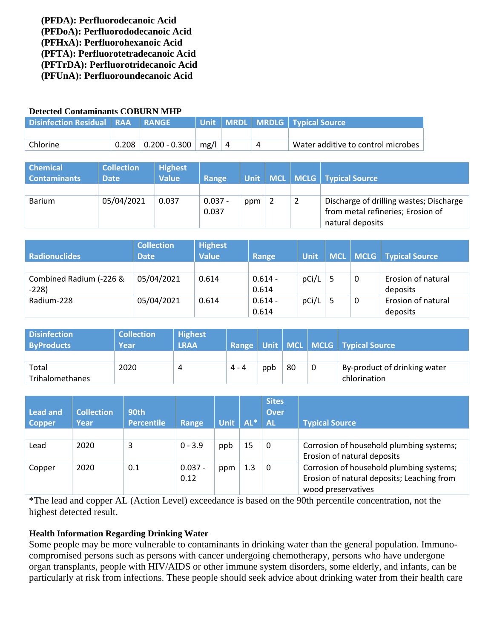**(PFDA): Perfluorodecanoic Acid (PFDoA): Perfluorododecanoic Acid (PFHxA): Perfluorohexanoic Acid (PFTA): Perfluorotetradecanoic Acid (PFTrDA): Perfluorotridecanoic Acid (PFUnA): Perfluoroundecanoic Acid**

### **Detected Contaminants COBURN MHP**

| Disinfection Residual   RAA   RANGE |                                        |            |  | Unit   MRDL   MRDLG   Typical Source |
|-------------------------------------|----------------------------------------|------------|--|--------------------------------------|
|                                     |                                        |            |  |                                      |
| Chlorine                            | $\mid 0.208 \mid 0.200$ - $0.300 \mid$ | $mg/1$   4 |  | Water additive to control microbes   |

| <b>Chemical</b><br><b>Contaminants</b> | <b>Collection</b><br><b>Date</b> | <b>Highest</b><br><b>Value</b> | Range              |     |  | Unit   MCL   MCLG   Typical Source                                                               |
|----------------------------------------|----------------------------------|--------------------------------|--------------------|-----|--|--------------------------------------------------------------------------------------------------|
|                                        |                                  |                                |                    |     |  |                                                                                                  |
| <b>Barium</b>                          | 05/04/2021                       | 0.037                          | $0.037 -$<br>0.037 | ppm |  | Discharge of drilling wastes; Discharge<br>from metal refineries; Erosion of<br>natural deposits |

| <b>Radionuclides</b>    | <b>Collection</b><br><b>Date</b> | <b>Highest</b><br><b>Value</b> | Range     | <b>Unit</b> |              | MCL   MCLG   Typical Source |
|-------------------------|----------------------------------|--------------------------------|-----------|-------------|--------------|-----------------------------|
|                         |                                  |                                |           |             |              |                             |
| Combined Radium (-226 & | 05/04/2021                       | 0.614                          | $0.614 -$ | pCi/L       | 0            | Erosion of natural          |
| $-228$                  |                                  |                                | 0.614     |             |              | deposits                    |
| Radium-228              | 05/04/2021                       | 0.614                          | $0.614 -$ | pCi/L       | $\mathbf{0}$ | Erosion of natural          |
|                         |                                  |                                | 0.614     |             |              | deposits                    |

| <b>Disinfection</b> | <b>Collection</b> | <b>Highest</b> |         |     |    |   |                                            |
|---------------------|-------------------|----------------|---------|-----|----|---|--------------------------------------------|
| <b>ByProducts</b>   | Year              | <b>LRAA</b>    |         |     |    |   | Range   Unit   MCL   MCLG   Typical Source |
|                     |                   |                |         |     |    |   |                                            |
| Total               | 2020              | 4              | $4 - 4$ | ppb | 80 | 0 | By-product of drinking water               |
| Trihalomethanes     |                   |                |         |     |    |   | chlorination                               |

| Lead and<br><b>Copper</b> | <b>Collection</b><br>Year | <b>90th</b><br><b>Percentile</b> | Range             | <b>Unit</b> | $AL^*$ | <b>Sites</b><br>Over<br><b>AL</b> | <b>Typical Source</b>                                                                                        |
|---------------------------|---------------------------|----------------------------------|-------------------|-------------|--------|-----------------------------------|--------------------------------------------------------------------------------------------------------------|
|                           |                           |                                  |                   |             |        |                                   |                                                                                                              |
| Lead                      | 2020                      | 3                                | $0 - 3.9$         | ppb         | 15     | 0                                 | Corrosion of household plumbing systems;<br>Erosion of natural deposits                                      |
| Copper                    | 2020                      | 0.1                              | $0.037 -$<br>0.12 | ppm         | 1.3    | $\Omega$                          | Corrosion of household plumbing systems;<br>Erosion of natural deposits; Leaching from<br>wood preservatives |

\*The lead and copper AL (Action Level) exceedance is based on the 90th percentile concentration, not the highest detected result.

## **Health Information Regarding Drinking Water**

Some people may be more vulnerable to contaminants in drinking water than the general population. Immunocompromised persons such as persons with cancer undergoing chemotherapy, persons who have undergone organ transplants, people with HIV/AIDS or other immune system disorders, some elderly, and infants, can be particularly at risk from infections. These people should seek advice about drinking water from their health care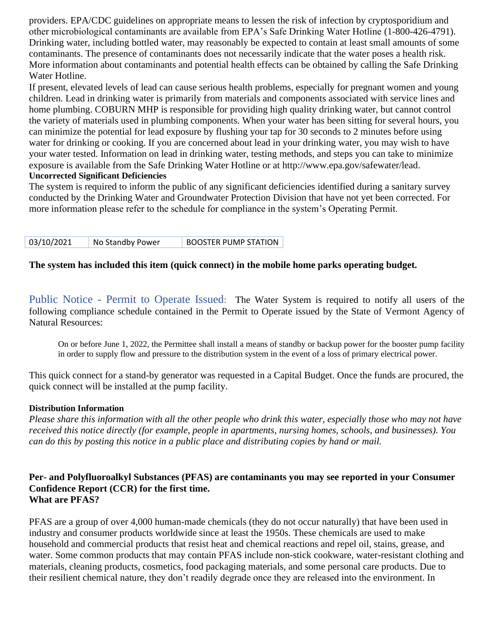providers. EPA/CDC guidelines on appropriate means to lessen the risk of infection by cryptosporidium and other microbiological contaminants are available from EPA's Safe Drinking Water Hotline (1-800-426-4791). Drinking water, including bottled water, may reasonably be expected to contain at least small amounts of some contaminants. The presence of contaminants does not necessarily indicate that the water poses a health risk. More information about contaminants and potential health effects can be obtained by calling the Safe Drinking Water Hotline.

If present, elevated levels of lead can cause serious health problems, especially for pregnant women and young children. Lead in drinking water is primarily from materials and components associated with service lines and home plumbing. COBURN MHP is responsible for providing high quality drinking water, but cannot control the variety of materials used in plumbing components. When your water has been sitting for several hours, you can minimize the potential for lead exposure by flushing your tap for 30 seconds to 2 minutes before using water for drinking or cooking. If you are concerned about lead in your drinking water, you may wish to have your water tested. Information on lead in drinking water, testing methods, and steps you can take to minimize exposure is available from the Safe Drinking Water Hotline or at [http://www.epa.gov/safewater/lead.](http://www.epa.gov/safewater/lead) **Uncorrected Significant Deficiencies**

The system is required to inform the public of any significant deficiencies identified during a sanitary survey conducted by the Drinking Water and Groundwater Protection Division that have not yet been corrected. For more information please refer to the schedule for compliance in the system's Operating Permit.

| 03/10/2021 | No Standby Power | <b>BOOSTER PUMP STATION</b> |
|------------|------------------|-----------------------------|
|------------|------------------|-----------------------------|

## **The system has included this item (quick connect) in the mobile home parks operating budget.**

Public Notice - Permit to Operate Issued:The Water System is required to notify all users of the following compliance schedule contained in the Permit to Operate issued by the State of Vermont Agency of Natural Resources:

On or before June 1, 2022, the Permittee shall install a means of standby or backup power for the booster pump facility in order to supply flow and pressure to the distribution system in the event of a loss of primary electrical power.

This quick connect for a stand-by generator was requested in a Capital Budget. Once the funds are procured, the quick connect will be installed at the pump facility.

#### **Distribution Information**

*Please share this information with all the other people who drink this water, especially those who may not have received this notice directly (for example, people in apartments, nursing homes, schools, and businesses). You can do this by posting this notice in a public place and distributing copies by hand or mail.*

#### **Per- and Polyfluoroalkyl Substances (PFAS) are contaminants you may see reported in your Consumer Confidence Report (CCR) for the first time. What are PFAS?**

PFAS are a group of over 4,000 human-made chemicals (they do not occur naturally) that have been used in industry and consumer products worldwide since at least the 1950s. These chemicals are used to make household and commercial products that resist heat and chemical reactions and repel oil, stains, grease, and water. Some common products that may contain PFAS include non-stick cookware, water-resistant clothing and materials, cleaning products, cosmetics, food packaging materials, and some personal care products. Due to their resilient chemical nature, they don't readily degrade once they are released into the environment. In